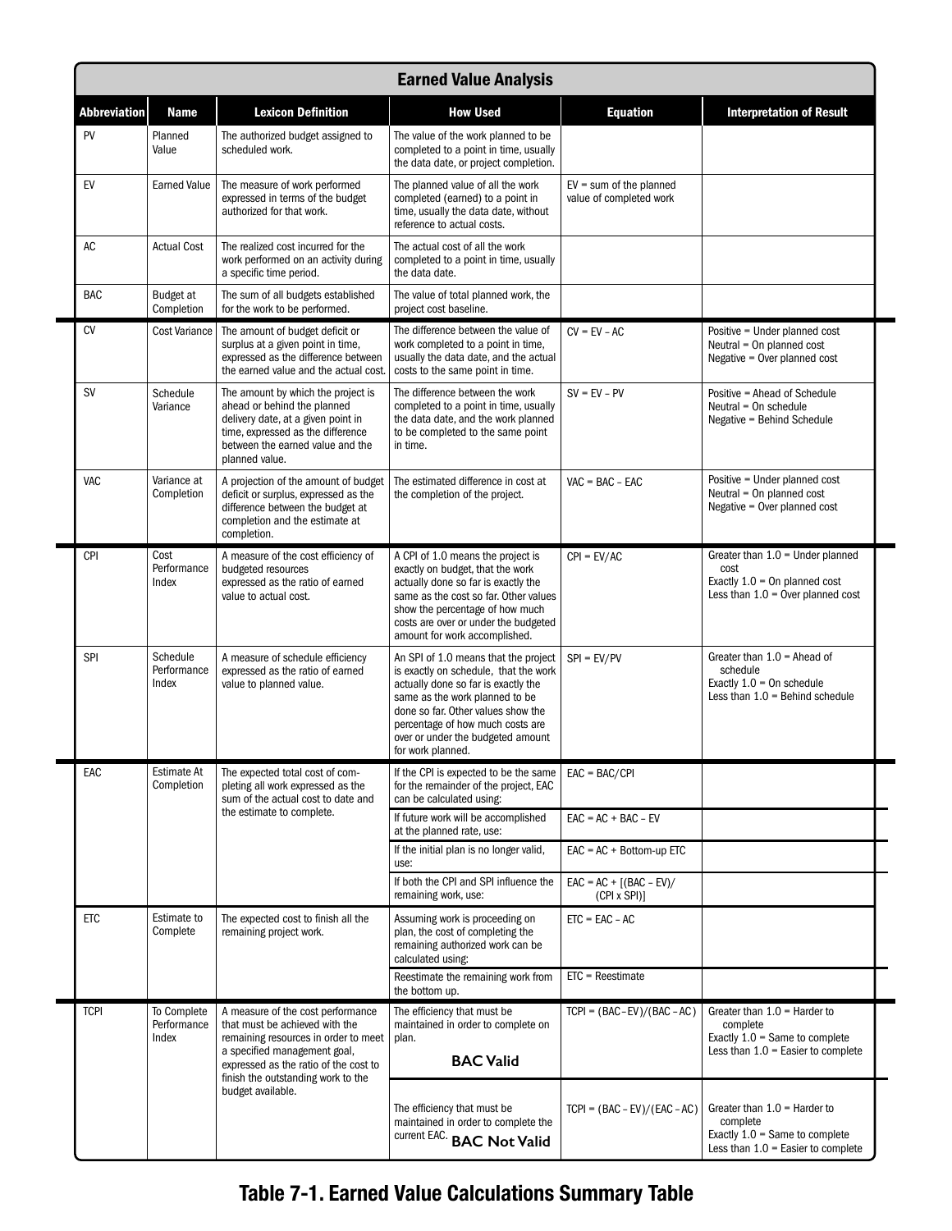| <b>Earned Value Analysis</b> |                                     |                                                                                                                                                                                                    |                                                                                                                                                                                                                                                                                            |                                                      |                                                                                                                        |
|------------------------------|-------------------------------------|----------------------------------------------------------------------------------------------------------------------------------------------------------------------------------------------------|--------------------------------------------------------------------------------------------------------------------------------------------------------------------------------------------------------------------------------------------------------------------------------------------|------------------------------------------------------|------------------------------------------------------------------------------------------------------------------------|
| <b>Abbreviation</b>          | <b>Name</b>                         | <b>Lexicon Definition</b>                                                                                                                                                                          | <b>How Used</b>                                                                                                                                                                                                                                                                            | <b>Equation</b>                                      | <b>Interpretation of Result</b>                                                                                        |
| PV                           | Planned<br>Value                    | The authorized budget assigned to<br>scheduled work.                                                                                                                                               | The value of the work planned to be<br>completed to a point in time, usually<br>the data date, or project completion.                                                                                                                                                                      |                                                      |                                                                                                                        |
| EV                           | <b>Earned Value</b>                 | The measure of work performed<br>expressed in terms of the budget<br>authorized for that work.                                                                                                     | The planned value of all the work<br>completed (earned) to a point in<br>time, usually the data date, without<br>reference to actual costs.                                                                                                                                                | $EV = sum of the planned$<br>value of completed work |                                                                                                                        |
| AC                           | <b>Actual Cost</b>                  | The realized cost incurred for the<br>work performed on an activity during<br>a specific time period.                                                                                              | The actual cost of all the work<br>completed to a point in time, usually<br>the data date.                                                                                                                                                                                                 |                                                      |                                                                                                                        |
| BAC                          | Budget at<br>Completion             | The sum of all budgets established<br>for the work to be performed.                                                                                                                                | The value of total planned work, the<br>project cost baseline.                                                                                                                                                                                                                             |                                                      |                                                                                                                        |
| <b>CV</b>                    | <b>Cost Variance</b>                | The amount of budget deficit or<br>surplus at a given point in time,<br>expressed as the difference between<br>the earned value and the actual cost.                                               | The difference between the value of<br>work completed to a point in time,<br>usually the data date, and the actual<br>costs to the same point in time.                                                                                                                                     | $CV = EV - AC$                                       | Positive = Under planned cost<br>Neutral $=$ On planned cost<br>Negative = Over planned cost                           |
| <b>SV</b>                    | Schedule<br>Variance                | The amount by which the project is<br>ahead or behind the planned<br>delivery date, at a given point in<br>time, expressed as the difference<br>between the earned value and the<br>planned value. | The difference between the work<br>completed to a point in time, usually<br>the data date, and the work planned<br>to be completed to the same point<br>in time.                                                                                                                           | $SV = EV - PV$                                       | Positive = Ahead of Schedule<br>Neutral = On schedule<br>Negative = Behind Schedule                                    |
| VAC                          | Variance at<br>Completion           | A projection of the amount of budget<br>deficit or surplus, expressed as the<br>difference between the budget at<br>completion and the estimate at<br>completion.                                  | The estimated difference in cost at<br>the completion of the project.                                                                                                                                                                                                                      | $VAC = BAC - EAC$                                    | Positive = Under planned cost<br>Neutral = On planned cost<br>Negative = Over planned cost                             |
| <b>CPI</b>                   | Cost<br>Performance<br>Index        | A measure of the cost efficiency of<br>budgeted resources<br>expressed as the ratio of earned<br>value to actual cost.                                                                             | A CPI of 1.0 means the project is<br>exactly on budget, that the work<br>actually done so far is exactly the<br>same as the cost so far. Other values<br>show the percentage of how much<br>costs are over or under the budgeted<br>amount for work accomplished.                          | $CPI = EV/AC$                                        | Greater than $1.0$ = Under planned<br>cost<br>Exactly $1.0 = 0n$ planned cost<br>Less than $1.0 =$ Over planned cost   |
| <b>SPI</b>                   | Schedule<br>Performance<br>Index    | A measure of schedule efficiency<br>expressed as the ratio of earned<br>value to planned value.                                                                                                    | An SPI of 1.0 means that the project<br>is exactly on schedule, that the work<br>actually done so far is exactly the<br>same as the work planned to be<br>done so far. Other values show the<br>percentage of how much costs are<br>over or under the budgeted amount<br>for work planned. | $SPI = EV/PV$                                        | Greater than $1.0$ = Ahead of<br>schedule<br>Exactly $1.0 = 0n$ schedule<br>Less than $1.0$ = Behind schedule          |
| EAC                          | Estimate At<br>Completion           | The expected total cost of com-<br>pleting all work expressed as the<br>sum of the actual cost to date and<br>the estimate to complete.                                                            | If the CPI is expected to be the same<br>for the remainder of the project, EAC<br>can be calculated using:                                                                                                                                                                                 | $EAC = BAC/CPI$                                      |                                                                                                                        |
|                              |                                     |                                                                                                                                                                                                    | If future work will be accomplished<br>at the planned rate, use:                                                                                                                                                                                                                           | $EAC = AC + BAC - EV$                                |                                                                                                                        |
|                              |                                     |                                                                                                                                                                                                    | If the initial plan is no longer valid,<br>use:                                                                                                                                                                                                                                            | $EAC = AC + Bottom-up ETC$                           |                                                                                                                        |
|                              |                                     |                                                                                                                                                                                                    | If both the CPI and SPI influence the<br>remaining work, use:                                                                                                                                                                                                                              | $EAC = AC + [(BAC - EV)/$<br>$(CPI \times SPI)$ ]    |                                                                                                                        |
| <b>ETC</b>                   | Estimate to<br>Complete             | The expected cost to finish all the<br>remaining project work.                                                                                                                                     | Assuming work is proceeding on<br>plan, the cost of completing the<br>remaining authorized work can be<br>calculated using:                                                                                                                                                                | $ETC = EAC - AC$                                     |                                                                                                                        |
|                              |                                     |                                                                                                                                                                                                    | Reestimate the remaining work from<br>the bottom up.                                                                                                                                                                                                                                       | $ETC = Reestimate$                                   |                                                                                                                        |
| <b>TCPI</b>                  | To Complete<br>Performance<br>Index | A measure of the cost performance<br>that must be achieved with the<br>remaining resources in order to meet<br>a specified management goal,<br>expressed as the ratio of the cost to               | The efficiency that must be<br>maintained in order to complete on<br>plan.<br><b>BAC Valid</b>                                                                                                                                                                                             | $TCP = (BAC-EV)/(BAC-AC)$                            | Greater than $1.0$ = Harder to<br>complete<br>Exactly $1.0$ = Same to complete<br>Less than $1.0$ = Easier to complete |
|                              |                                     | finish the outstanding work to the<br>budget available.                                                                                                                                            | The efficiency that must be<br>maintained in order to complete the<br>current EAC. BAC Not Valid                                                                                                                                                                                           | $TCP = (BAC - EV)/(EAC - AC)$                        | Greater than $1.0$ = Harder to<br>complete<br>Exactly $1.0$ = Same to complete<br>Less than $1.0$ = Easier to complete |

## **Table 7-1. Earned Value Calculations Summary Table**